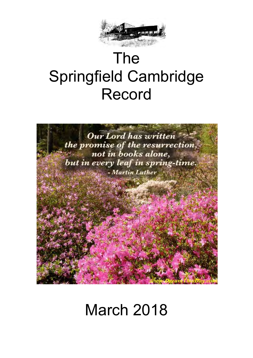

# The Springfield Cambridge Record



# March 2018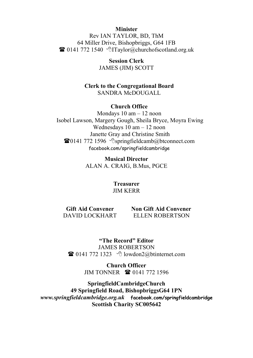#### **Minister**

Rev IAN TAYLOR, BD, ThM 64 Miller Drive, Bishopbriggs, G64 1FB  $\bullet$  0141 772 1540  $\circ$  Taylor@churchofscotland.org.uk

> **Session Clerk**  JAMES (JIM) SCOTT

#### **Clerk to the Congregational Board**  SANDRA McDOUGALL

#### **Church Office**

Mondays 10 am – 12 noon Isobel Lawson, Margery Gough, Sheila Bryce, Moyra Ewing Wednesdays 10 am – 12 noon Janette Gray and Christine Smith  $\mathbf{F}$ 0141 772 1596 Beringfieldcamb@btconnect.com facebook.com/springfieldcambridge

> **Musical Director**  ALAN A. CRAIG, B.Mus, PGCE

#### **Treasurer**  JIM KERR

**Gift Aid Convener** Non Gift Aid Convener DAVID LOCKHART ELLEN ROBERTSON

**"The Record" Editor**  JAMES ROBERTSON  $\bullet$  0141 772 1323  $\bullet$  lowdon2@btinternet.com

> **Church Officer**  JIM TONNER **1** 0141 772 1596

**SpringfieldCambridgeChurch 49 Springfield Road, BishopbriggsG64 1PN**  *www.springfieldcambridge.org.uk* **facebook.com/springfieldcambridge Scottish Charity SC005642**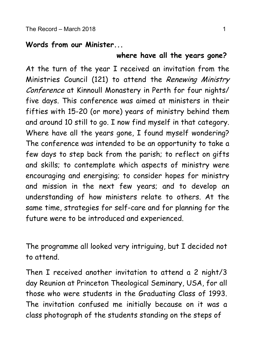#### **Words from our Minister...**

#### **where have all the years gone?**

At the turn of the year I received an invitation from the Ministries Council (121) to attend the Renewing Ministry Conference at Kinnoull Monastery in Perth for four nights/ five days. This conference was aimed at ministers in their fifties with 15-20 (or more) years of ministry behind them and around 10 still to go. I now find myself in that category. Where have all the years gone, I found myself wondering? The conference was intended to be an opportunity to take a few days to step back from the parish; to reflect on gifts and skills; to contemplate which aspects of ministry were encouraging and energising; to consider hopes for ministry and mission in the next few years; and to develop an understanding of how ministers relate to others. At the same time, strategies for self-care and for planning for the future were to be introduced and experienced.

The programme all looked very intriguing, but I decided not to attend.

Then I received another invitation to attend a 2 night/3 day Reunion at Princeton Theological Seminary, USA, for all those who were students in the Graduating Class of 1993. The invitation confused me initially because on it was a class photograph of the students standing on the steps of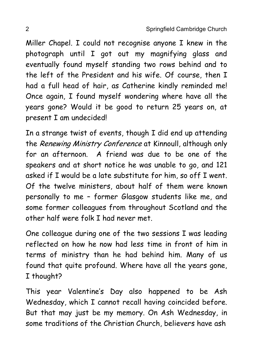Miller Chapel. I could not recognise anyone I knew in the photograph until I got out my magnifying glass and eventually found myself standing two rows behind and to the left of the President and his wife. Of course, then I had a full head of hair, as Catherine kindly reminded me! Once again, I found myself wondering where have all the years gone? Would it be good to return 25 years on, at present I am undecided!

In a strange twist of events, though I did end up attending the Renewing Ministry Conference at Kinnoull, although only for an afternoon. A friend was due to be one of the speakers and at short notice he was unable to go, and 121 asked if I would be a late substitute for him, so off I went. Of the twelve ministers, about half of them were known personally to me – former Glasgow students like me, and some former colleagues from throughout Scotland and the other half were folk I had never met.

One colleague during one of the two sessions I was leading reflected on how he now had less time in front of him in terms of ministry than he had behind him. Many of us found that quite profound. Where have all the years gone, I thought?

This year Valentine's Day also happened to be Ash Wednesday, which I cannot recall having coincided before. But that may just be my memory. On Ash Wednesday, in some traditions of the Christian Church, believers have ash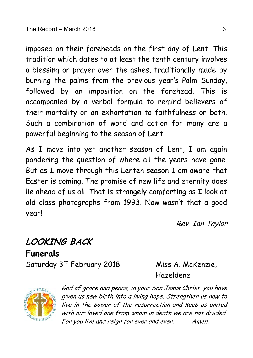imposed on their foreheads on the first day of Lent. This tradition which dates to at least the tenth century involves a blessing or prayer over the ashes, traditionally made by burning the palms from the previous year's Palm Sunday, followed by an imposition on the forehead. This is accompanied by a verbal formula to remind believers of their mortality or an exhortation to faithfulness or both. Such a combination of word and action for many are a powerful beginning to the season of Lent.

As I move into yet another season of Lent, I am again pondering the question of where all the years have gone. But as I move through this Lenten season I am aware that Easter is coming. The promise of new life and eternity does lie ahead of us all. That is strangely comforting as I look at old class photographs from 1993. Now wasn't that a good year!

Rev. Ian Taylor

# **LOOKING BACK**

**Funerals**  Saturday 3<sup>rd</sup> February 2018 Miss A. McKenzie,

# Hazeldene



God of grace and peace, in your Son Jesus Christ, you have given us new birth into a living hope. Strengthen us now to live in the power of the resurrection and keep us united with our loved one from whom in death we are not divided. For you live and reign for ever and ever. Amen.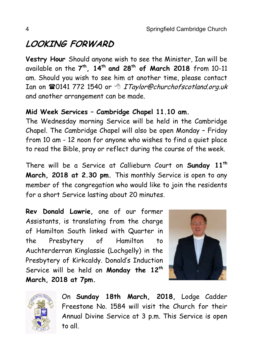## **LOOKING FORWARD**

**Vestry Hour** Should anyone wish to see the Minister, Ian will be available on the **7 th , 14th and 28th of March 2018** from 10-11 am. Should you wish to see him at another time, please contact Ian on  $\mathbb{E} 0141$  772 1540 or  $\oplus$  *ITaylor@churchofscotland.org.uk* and another arrangement can be made.

#### **Mid Week Services – Cambridge Chapel 11.10 am.**

The Wednesday morning Service will be held in the Cambridge Chapel. The Cambridge Chapel will also be open Monday – Friday from 10 am - 12 noon for anyone who wishes to find a quiet place to read the Bible, pray or reflect during the course of the week.

There will be a Service at Callieburn Court on **Sunday 11th March, 2018 at 2.30 pm.** This monthly Service is open to any member of the congregation who would like to join the residents for a short Service lasting about 20 minutes.

**Rev Donald Lawrie,** one of our former Assistants, is translating from the charge of Hamilton South linked with Quarter in the Presbytery of Hamilton to Auchterderran Kinglassie (Lochgelly) in the Presbytery of Kirkcaldy. Donald's Induction Service will be held on **Monday the 12th March, 2018 at 7pm.** 





On **Sunday 18th March, 2018,** Lodge Cadder Freestone No. 1584 will visit the Church for their Annual Divine Service at 3 p.m. This Service is open to all.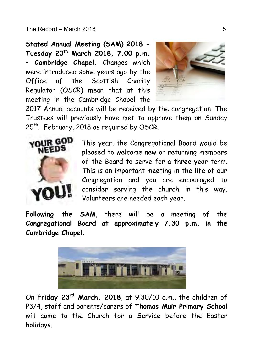**Stated Annual Meeting (SAM) 2018 - Tuesday 20th March 2018, 7.00 p.m. – Cambridge Chapel.** Changes which were introduced some years ago by the Office of the Scottish Charity Regulator (OSCR) mean that at this meeting in the Cambridge Chapel the



2017 Annual accounts will be received by the congregation. The Trustees will previously have met to approve them on Sunday 25<sup>th</sup>. February, 2018 as required by OSCR.



This year, the Congregational Board would be pleased to welcome new or returning members of the Board to serve for a three-year term. This is an important meeting in the life of our Congregation and you are encouraged to consider serving the church in this way. Volunteers are needed each year.

**Following the SAM**, there will be a meeting of the **Congregational Board at approximately 7.30 p.m. in the Cambridge Chapel.** 



On **Friday 23rd March, 2018**, at 9.30/10 a.m., the children of P3/4, staff and parents/carers of **Thomas Muir Primary School** will come to the Church for a Service before the Easter holidays.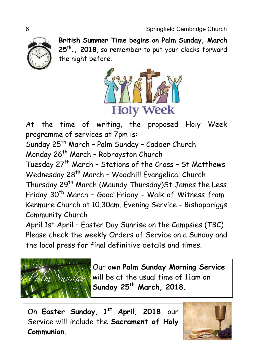

**British Summer Time begins on Palm Sunday, March 25th., 2018**, so remember to put your clocks forward the night before.



At the time of writing, the proposed Holy Week programme of services at 7pm is: Sunday 25th March – Palm Sunday – Cadder Church Monday 26<sup>th</sup> March - Robroyston Church Tuesday 27<sup>th</sup> March - Stations of the Cross - St Matthews Wednesday 28<sup>th</sup> March - Woodhill Evangelical Church Thursday 29<sup>th</sup> March (Maundy Thursday) St James the Less Friday  $30<sup>th</sup>$  March - Good Friday - Walk of Witness from Kenmure Church at 10.30am. Evening Service - Bishopbriggs Community Church

April 1st April – Easter Day Sunrise on the Campsies (TBC) Please check the weekly Orders of Service on a Sunday and the local press for final definitive details and times.



Our own **Palm Sunday Morning Service** will be at the usual time of 11am on **Sunday 25th March, 2018.** 

On **Easter Sunday, 1 st April, 2018**, our Service will include the **Sacrament of Holy Communion.**

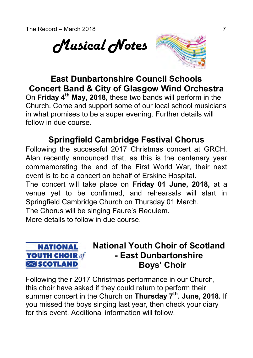



**East Dunbartonshire Council Schools Concert Band & City of Glasgow Wind Orchestra**  On **Friday 4th May, 2018,** these two bands will perform in the Church. Come and support some of our local school musicians in what promises to be a super evening. Further details will follow in due course.

### **Springfield Cambridge Festival Chorus**

Following the successful 2017 Christmas concert at GRCH, Alan recently announced that, as this is the centenary year commemorating the end of the First World War, their next event is to be a concert on behalf of Erskine Hospital.

The concert will take place on **Friday 01 June, 2018,** at a venue yet to be confirmed, and rehearsals will start in Springfield Cambridge Church on Thursday 01 March.

The Chorus will be singing Faure's Requiem.

More details to follow in due course.



#### **National Youth Choir of Scotland - East Dunbartonshire Boys' Choir**

Following their 2017 Christmas performance in our Church, this choir have asked if they could return to perform their summer concert in the Church on **Thursday 7th. June, 2018.** If you missed the boys singing last year, then check your diary for this event. Additional information will follow.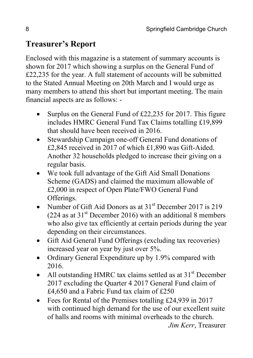### **Treasurer's Report**

Enclosed with this magazine is a statement of summary accounts is shown for 2017 which showing a surplus on the General Fund of £22,235 for the year. A full statement of accounts will be submitted to the Stated Annual Meeting on 20th March and I would urge as many members to attend this short but important meeting. The main financial aspects are as follows: -

- Surplus on the General Fund of £22,235 for 2017. This figure includes HMRC General Fund Tax Claims totalling £19,899 that should have been received in 2016.
- Stewardship Campaign one-off General Fund donations of £2,845 received in 2017 of which £1,890 was Gift-Aided. Another 32 households pledged to increase their giving on a regular basis.
- We took full advantage of the Gift Aid Small Donations Scheme (GADS) and claimed the maximum allowable of £2,000 in respect of Open Plate/FWO General Fund Offerings.
- Number of Gift Aid Donors as at  $31<sup>st</sup>$  December 2017 is 219  $(224$  as at  $31<sup>st</sup>$  December 2016) with an additional 8 members who also give tax efficiently at certain periods during the year depending on their circumstances.
- Gift Aid General Fund Offerings (excluding tax recoveries) increased year on year by just over 5%.
- Ordinary General Expenditure up by 1.9% compared with 2016.
- All outstanding HMRC tax claims settled as at  $31<sup>st</sup>$  December 2017 excluding the Quarter 4 2017 General Fund claim of £4,650 and a Fabric Fund tax claim of £250
- Fees for Rental of the Premises totalling £24,939 in 2017 with continued high demand for the use of our excellent suite of halls and rooms with minimal overheads to the church.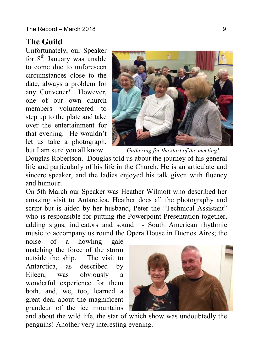### **The Guild**

Unfortunately, our Speaker for  $8<sup>th</sup>$  January was unable to come due to unforeseen circumstances close to the date, always a problem for any Convener! However, one of our own church members volunteered to step up to the plate and take over the entertainment for that evening. He wouldn't let us take a photograph,



but I am sure you all know *Gathering for the start of the meeting!*

Douglas Robertson. Douglas told us about the journey of his general life and particularly of his life in the Church. He is an articulate and sincere speaker, and the ladies enjoyed his talk given with fluency and humour.

On 5th March our Speaker was Heather Wilmott who described her amazing visit to Antarctica. Heather does all the photography and script but is aided by her husband, Peter the "Technical Assistant" who is responsible for putting the Powerpoint Presentation together, adding signs, indicators and sound - South American rhythmic music to accompany us round the Opera House in Buenos Aires; the

noise of a howling gale matching the force of the storm outside the ship. The visit to Antarctica, as described by Eileen, was obviously a wonderful experience for them both, and, we, too, learned a great deal about the magnificent grandeur of the ice mountains



and about the wild life, the star of which show was undoubtedly the penguins! Another very interesting evening.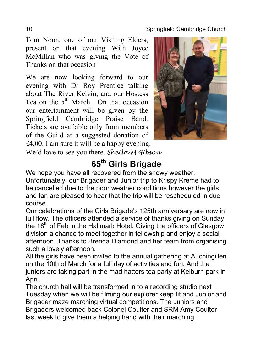#### 10 Springfield Cambridge Church

Tom Noon, one of our Visiting Elders, present on that evening With Joyce McMillan who was giving the Vote of Thanks on that occasion

We are now looking forward to our evening with Dr Roy Prentice talking about The River Kelvin, and our Hostess Tea on the  $5<sup>th</sup>$  March. On that occasion our entertainment will be given by the Springfield Cambridge Praise Band. Tickets are available only from members of the Guild at a suggested donation of £4.00. I am sure it will be a happy evening.



We'd love to see you there. *Sheila M Gibson*

### **65th Girls Brigade**

We hope you have all recovered from the snowy weather. Unfortunately, our Brigader and Junior trip to Krispy Kreme had to be cancelled due to the poor weather conditions however the girls and Ian are pleased to hear that the trip will be rescheduled in due course.

Our celebrations of the Girls Brigade's 125th anniversary are now in full flow. The officers attended a service of thanks giving on Sunday the 18<sup>th</sup> of Feb in the Hallmark Hotel. Giving the officers of Glasgow division a chance to meet together in fellowship and enjoy a social afternoon. Thanks to Brenda Diamond and her team from organising such a lovely afternoon.

All the girls have been invited to the annual gathering at Auchingillen on the 10th of March for a full day of activities and fun. And the juniors are taking part in the mad hatters tea party at Kelburn park in April.

The church hall will be transformed in to a recording studio next Tuesday when we will be filming our explorer keep fit and Junior and Brigader maze marching virtual competitions. The Juniors and Brigaders welcomed back Colonel Coulter and SRM Amy Coulter last week to give them a helping hand with their marching.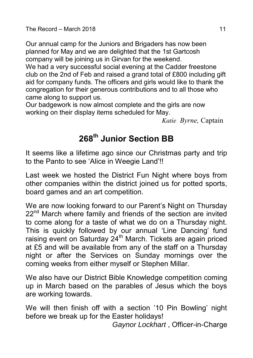The Record – March 2018 11

Our annual camp for the Juniors and Brigaders has now been planned for May and we are delighted that the 1st Gartcosh company will be joining us in Girvan for the weekend.

We had a very successful social evening at the Cadder freestone club on the 2nd of Feb and raised a grand total of £800 including gift aid for company funds. The officers and girls would like to thank the congregation for their generous contributions and to all those who came along to support us.

Our badgework is now almost complete and the girls are now working on their display items scheduled for May.

*Katie Byrne,* Captain

### **268th Junior Section BB**

It seems like a lifetime ago since our Christmas party and trip to the Panto to see 'Alice in Weegie Land'!!

Last week we hosted the District Fun Night where boys from other companies within the district joined us for potted sports, board games and an art competition.

We are now looking forward to our Parent's Night on Thursday 22<sup>nd</sup> March where family and friends of the section are invited to come along for a taste of what we do on a Thursday night. This is quickly followed by our annual 'Line Dancing' fund raising event on Saturday 24<sup>th</sup> March. Tickets are again priced at £5 and will be available from any of the staff on a Thursday night or after the Services on Sunday mornings over the coming weeks from either myself or Stephen Millar.

We also have our District Bible Knowledge competition coming up in March based on the parables of Jesus which the boys are working towards.

We will then finish off with a section '10 Pin Bowling' night before we break up for the Easter holidays!

*Gaynor Lockhart* , Officer-in-Charge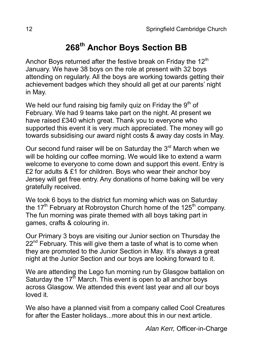## **268th Anchor Boys Section BB**

Anchor Boys returned after the festive break on Friday the  $12<sup>th</sup>$ January. We have 38 boys on the role at present with 32 boys attending on regularly. All the boys are working towards getting their achievement badges which they should all get at our parents' night in May.

We held our fund raising big family quiz on Friday the  $9<sup>th</sup>$  of February. We had 9 teams take part on the night. At present we have raised £340 which great. Thank you to everyone who supported this event it is very much appreciated. The money will go towards subsidising our award night costs & away day costs in May.

Our second fund raiser will be on Saturday the  $3<sup>rd</sup>$  March when we will be holding our coffee morning. We would like to extend a warm welcome to everyone to come down and support this event. Entry is £2 for adults & £1 for children. Boys who wear their anchor boy Jersey will get free entry. Any donations of home baking will be very gratefully received.

We took 6 boys to the district fun morning which was on Saturday the 17<sup>th</sup> February at Robroyston Church home of the 125<sup>th</sup> company. The fun morning was pirate themed with all boys taking part in games, crafts & colouring in.

Our Primary 3 boys are visiting our Junior section on Thursday the  $22<sup>nd</sup>$  February. This will give them a taste of what is to come when they are promoted to the Junior Section in May. It's always a great night at the Junior Section and our boys are looking forward to it.

We are attending the Lego fun morning run by Glasgow battalion on Saturday the  $17<sup>th</sup>$  March. This event is open to all anchor boys across Glasgow. We attended this event last year and all our boys loved it.

We also have a planned visit from a company called Cool Creatures for after the Easter holidays...more about this in our next article.

*Alan Kerr,* Officer-in-Charge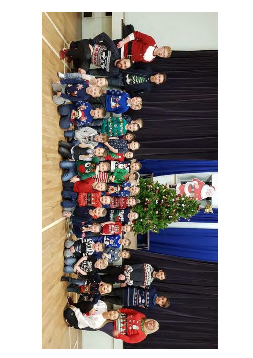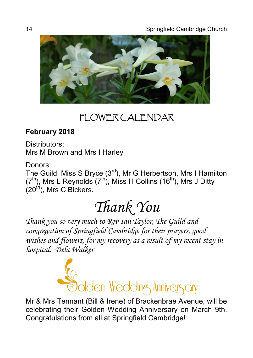

## FLOWER CALENDAR

#### **February 2018**

Distributors: Mrs M Brown and Mrs I Harley

Donors:

The Guild, Miss S Bryce  $(3<sup>rd</sup>)$ , Mr G Herbertson, Mrs I Hamilton  $(7<sup>th</sup>)$ , Mrs L Reynolds  $(7<sup>th</sup>)$ , Miss H Collins (16<sup>th</sup>), Mrs J Ditty  $(20^{th})$ , Mrs C Bickers.

# *Thank You*

*Thank you so very much to Rev Ian Taylor, The Guild and congregation of Springfield Cambridge for their prayers, good wishes and flowers, for my recovery as a result of my recent stay in hospital. Dela Walker* 



Mr & Mrs Tennant (Bill & Irene) of Brackenbrae Avenue, will be celebrating their Golden Wedding Anniversary on March 9th. Congratulations from all at Springfield Cambridge!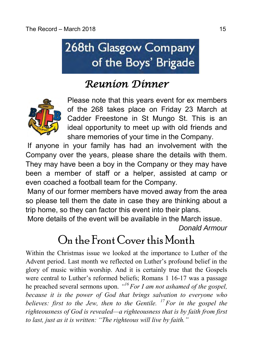# 268th Glasgow Company of the Boys' Brigade

## *Reunion Dinner*



Please note that this years event for ex members of the 268 takes place on Friday 23 March at Cadder Freestone in St Mungo St. This is an ideal opportunity to meet up with old friends and share memories of your time in the Company.

If anyone in your family has had an involvement with the Company over the years, please share the details with them. They may have been a boy in the Company or they may have been a member of staff or a helper, assisted at camp or even coached a football team for the Company.

Many of our former members have moved away from the area so please tell them the date in case they are thinking about a trip home, so they can factor this event into their plans.

More details of the event will be available in the March issue.

*Donald Armour* 

# On the Front Cover this Month

Within the Christmas issue we looked at the importance to Luther of the Advent period. Last month we reflected on Luther's profound belief in the glory of music within worship. And it is certainly true that the Gospels were central to Luther's reformed beliefs; Romans 1 16-17 was a passage he preached several sermons upon. *" <sup>16</sup> For I am not ashamed of the gospel, because it is the power of God that brings salvation to everyone who believes: first to the Jew, then to the Gentile. <sup>17</sup>For in the gospel the righteousness of God is revealed—a righteousness that is by faith from first to last, just as it is written: "The righteous will live by faith."*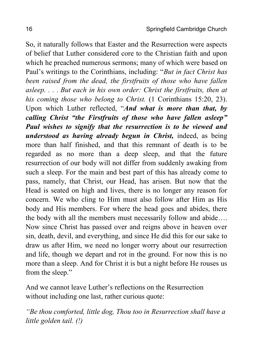So, it naturally follows that Easter and the Resurrection were aspects of belief that Luther considered core to the Christian faith and upon which he preached numerous sermons; many of which were based on Paul's writings to the Corinthians, including: "*But in fact Christ has been raised from the dead, the firstfruits of those who have fallen asleep. . . . But each in his own order: Christ the firstfruits, then at his coming those who belong to Christ.* (1 Corinthians 15:20, 23). Upon which Luther reflected, "*And what is more than that, by calling Christ "the Firstfruits of those who have fallen asleep" Paul wishes to signify that the resurrection is to be viewed and understood as having already begun in Christ,* indeed, as being more than half finished, and that this remnant of death is to be regarded as no more than a deep sleep, and that the future resurrection of our body will not differ from suddenly awaking from such a sleep. For the main and best part of this has already come to pass, namely, that Christ, our Head, has arisen. But now that the Head is seated on high and lives, there is no longer any reason for concern. We who cling to Him must also follow after Him as His body and His members. For where the head goes and abides, there the body with all the members must necessarily follow and abide…. Now since Christ has passed over and reigns above in heaven over sin, death, devil, and everything, and since He did this for our sake to draw us after Him, we need no longer worry about our resurrection and life, though we depart and rot in the ground. For now this is no more than a sleep. And for Christ it is but a night before He rouses us from the sleep."

And we cannot leave Luther's reflections on the Resurrection without including one last, rather curious quote:

*["Be thou comforted, little dog, Thou too in Resurrection shall have a](http://www.azquotes.com/quote/180795)  [little golden tail.](http://www.azquotes.com/quote/180795) (!)*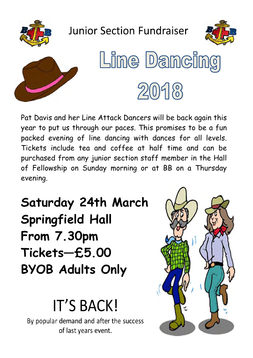

**Junior Section Fundraiser** 







Pat Davis and her Line Attack Dancers will be back again this year to put us through our paces. This promises to be a fun packed evening of line dancing with dances for all levels. Tickets include tea and coffee at half time and can be purchased from any junior section staff member in the Hall of Fellowship on Sunday morning or at BB on a Thursday evening.

**Saturday 24th March Springfield Hall From 7.30pm Tickets—£5.00 BYOB Adults Only**

# **IT'S BACK!**

By popular demand and after the success of last years event.